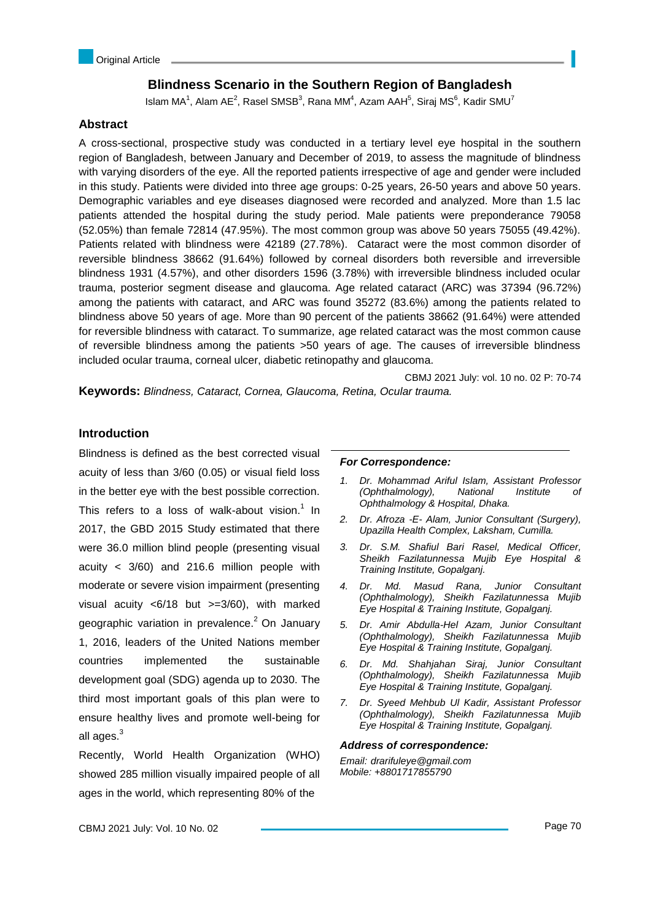# **Blindness Scenario in the Southern Region of Bangladesh**

Islam MA<sup>1</sup>, Alam AE<sup>2</sup>, Rasel SMSB<sup>3</sup>, Rana MM<sup>4</sup>, Azam AAH<sup>5</sup>, Siraj MS<sup>6</sup>, Kadir SMU<sup>7</sup>

## **Abstract**

A cross-sectional, prospective study was conducted in a tertiary level eye hospital in the southern region of Bangladesh, between January and December of 2019, to assess the magnitude of blindness with varying disorders of the eye. All the reported patients irrespective of age and gender were included in this study. Patients were divided into three age groups: 0-25 years, 26-50 years and above 50 years. Demographic variables and eye diseases diagnosed were recorded and analyzed. More than 1.5 lac patients attended the hospital during the study period. Male patients were preponderance 79058 (52.05%) than female 72814 (47.95%). The most common group was above 50 years 75055 (49.42%). Patients related with blindness were 42189 (27.78%). Cataract were the most common disorder of reversible blindness 38662 (91.64%) followed by corneal disorders both reversible and irreversible blindness 1931 (4.57%), and other disorders 1596 (3.78%) with irreversible blindness included ocular trauma, posterior segment disease and glaucoma. Age related cataract (ARC) was 37394 (96.72%) among the patients with cataract, and ARC was found 35272 (83.6%) among the patients related to blindness above 50 years of age. More than 90 percent of the patients 38662 (91.64%) were attended for reversible blindness with cataract. To summarize, age related cataract was the most common cause of reversible blindness among the patients >50 years of age. The causes of irreversible blindness included ocular trauma, corneal ulcer, diabetic retinopathy and glaucoma.

CBMJ 2021 July: vol. 10 no. 02 P: 70-74 **Keywords:** *Blindness, Cataract, Cornea, Glaucoma, Retina, Ocular trauma.*

## **Introduction**

Blindness is defined as the best corrected visual acuity of less than 3/60 (0.05) or visual field loss in the better eye with the best possible correction. This refers to a loss of walk-about vision. $1$  In 2017, the GBD 2015 Study estimated that there were 36.0 million blind people (presenting visual acuity < 3/60) and 216.6 million people with moderate or severe vision impairment (presenting visual acuity <6/18 but >=3/60), with marked geographic variation in prevalence.<sup>2</sup> On January 1, 2016, leaders of the United Nations member countries implemented the sustainable development goal (SDG) agenda up to 2030. The third most important goals of this plan were to ensure healthy lives and promote well-being for all ages.<sup>3</sup>

Recently, World Health Organization (WHO) showed 285 million visually impaired people of all ages in the world, which representing 80% of the

### *For Correspondence:*

- *1. Dr. Mohammad Ariful Islam, Assistant Professor (Ophthalmology), National Institute of Ophthalmology & Hospital, Dhaka.*
- *2. Dr. Afroza -E- Alam, Junior Consultant (Surgery), Upazilla Health Complex, Laksham, Cumilla.*
- *3. Dr. S.M. Shafiul Bari Rasel, Medical Officer, Sheikh Fazilatunnessa Mujib Eye Hospital & Training Institute, Gopalganj.*
- *4. Dr. Md. Masud Rana, Junior Consultant (Ophthalmology), Sheikh Fazilatunnessa Mujib Eye Hospital & Training Institute, Gopalganj.*
- *5. Dr. Amir Abdulla-Hel Azam, Junior Consultant (Ophthalmology), Sheikh Fazilatunnessa Mujib Eye Hospital & Training Institute, Gopalganj.*
- *6. Dr. Md. Shahjahan Siraj, Junior Consultant (Ophthalmology), Sheikh Fazilatunnessa Mujib Eye Hospital & Training Institute, Gopalganj.*
- *7. Dr. Syeed Mehbub Ul Kadir, Assistant Professor (Ophthalmology), Sheikh Fazilatunnessa Mujib Eye Hospital & Training Institute, Gopalganj.*

### *Address of correspondence:*

*Email: drarifuleye@gmail.com Mobile: +8801717855790*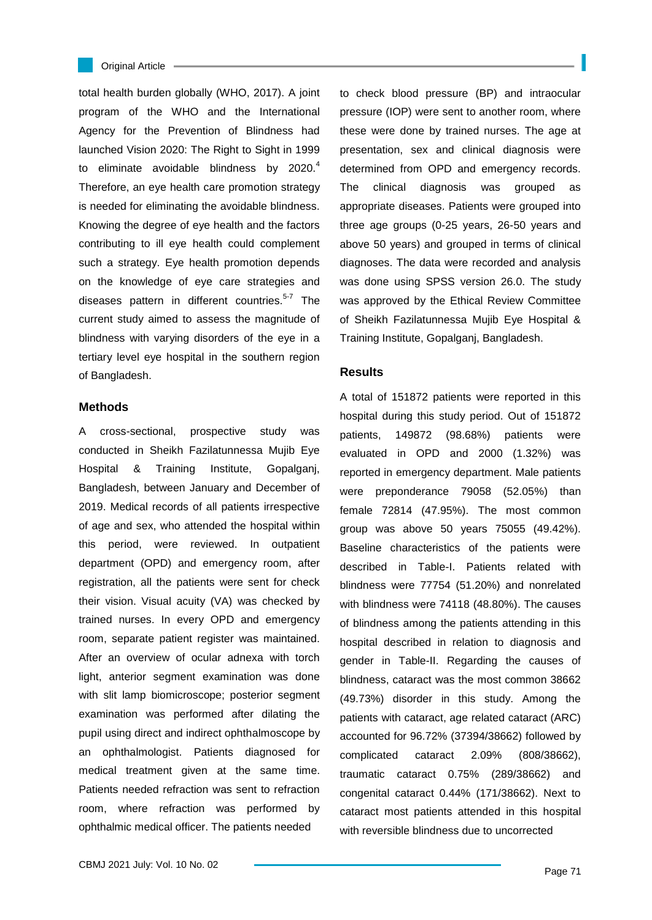

total health burden globally (WHO, 2017). A joint program of the WHO and the International Agency for the Prevention of Blindness had launched Vision 2020: The Right to Sight in 1999 to eliminate avoidable blindness by  $2020.<sup>4</sup>$ Therefore, an eye health care promotion strategy is needed for eliminating the avoidable blindness. Knowing the degree of eye health and the factors contributing to ill eye health could complement such a strategy. Eye health promotion depends on the knowledge of eye care strategies and diseases pattern in different countries.<sup>5-7</sup> The current study aimed to assess the magnitude of blindness with varying disorders of the eye in a tertiary level eye hospital in the southern region of Bangladesh.

### **Methods**

A cross-sectional, prospective study was conducted in Sheikh Fazilatunnessa Mujib Eye Hospital & Training Institute, Gopalganj, Bangladesh, between January and December of 2019. Medical records of all patients irrespective of age and sex, who attended the hospital within this period, were reviewed. In outpatient department (OPD) and emergency room, after registration, all the patients were sent for check their vision. Visual acuity (VA) was checked by trained nurses. In every OPD and emergency room, separate patient register was maintained. After an overview of ocular adnexa with torch light, anterior segment examination was done with slit lamp biomicroscope; posterior segment examination was performed after dilating the pupil using direct and indirect ophthalmoscope by an ophthalmologist. Patients diagnosed for medical treatment given at the same time. Patients needed refraction was sent to refraction room, where refraction was performed by ophthalmic medical officer. The patients needed

to check blood pressure (BP) and intraocular pressure (IOP) were sent to another room, where these were done by trained nurses. The age at presentation, sex and clinical diagnosis were determined from OPD and emergency records. The clinical diagnosis was grouped as appropriate diseases. Patients were grouped into three age groups (0-25 years, 26-50 years and above 50 years) and grouped in terms of clinical diagnoses. The data were recorded and analysis was done using SPSS version 26.0. The study was approved by the Ethical Review Committee of Sheikh Fazilatunnessa Mujib Eye Hospital & Training Institute, Gopalganj, Bangladesh.

#### **Results**

A total of 151872 patients were reported in this hospital during this study period. Out of 151872 patients, 149872 (98.68%) patients were evaluated in OPD and 2000 (1.32%) was reported in emergency department. Male patients were preponderance 79058 (52.05%) than female 72814 (47.95%). The most common group was above 50 years 75055 (49.42%). Baseline characteristics of the patients were described in Table-I. Patients related with blindness were 77754 (51.20%) and nonrelated with blindness were 74118 (48.80%). The causes of blindness among the patients attending in this hospital described in relation to diagnosis and gender in Table-II. Regarding the causes of blindness, cataract was the most common 38662 (49.73%) disorder in this study. Among the patients with cataract, age related cataract (ARC) accounted for 96.72% (37394/38662) followed by complicated cataract 2.09% (808/38662), traumatic cataract 0.75% (289/38662) and congenital cataract 0.44% (171/38662). Next to cataract most patients attended in this hospital with reversible blindness due to uncorrected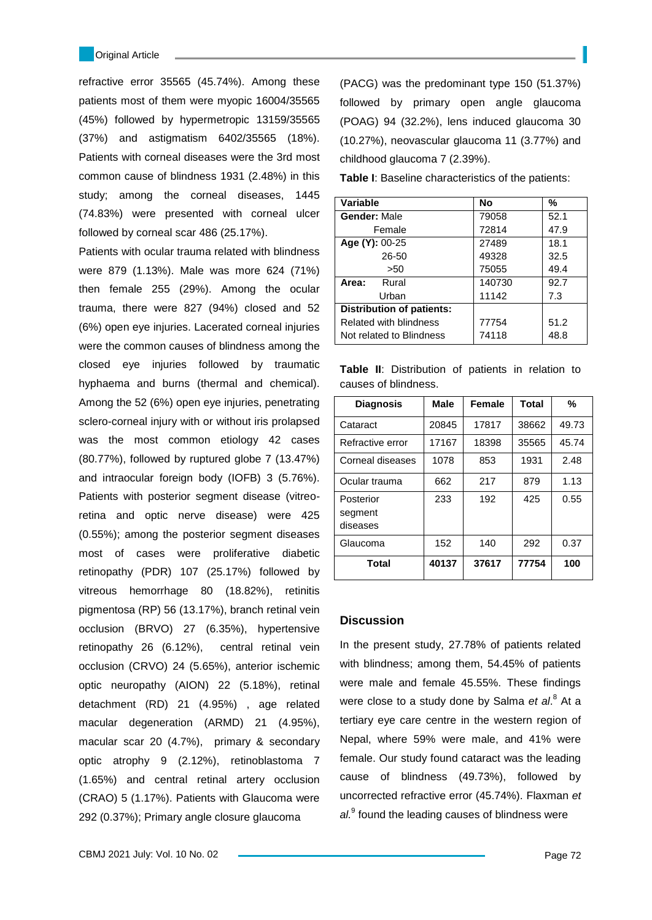refractive error 35565 (45.74%). Among these patients most of them were myopic 16004/35565 (45%) followed by hypermetropic 13159/35565 (37%) and astigmatism 6402/35565 (18%). Patients with corneal diseases were the 3rd most common cause of blindness 1931 (2.48%) in this study; among the corneal diseases, 1445 (74.83%) were presented with corneal ulcer followed by corneal scar 486 (25.17%).

Patients with ocular trauma related with blindness were 879 (1.13%). Male was more 624 (71%) then female 255 (29%). Among the ocular trauma, there were 827 (94%) closed and 52 (6%) open eye injuries. Lacerated corneal injuries were the common causes of blindness among the closed eye injuries followed by traumatic hyphaema and burns (thermal and chemical). Among the 52 (6%) open eye injuries, penetrating sclero-corneal injury with or without iris prolapsed was the most common etiology 42 cases (80.77%), followed by ruptured globe 7 (13.47%) and intraocular foreign body (IOFB) 3 (5.76%). Patients with posterior segment disease (vitreoretina and optic nerve disease) were 425 (0.55%); among the posterior segment diseases most of cases were proliferative diabetic retinopathy (PDR) 107 (25.17%) followed by vitreous hemorrhage 80 (18.82%), retinitis pigmentosa (RP) 56 (13.17%), branch retinal vein occlusion (BRVO) 27 (6.35%), hypertensive retinopathy 26 (6.12%), central retinal vein occlusion (CRVO) 24 (5.65%), anterior ischemic optic neuropathy (AION) 22 (5.18%), retinal detachment (RD) 21 (4.95%) , age related macular degeneration (ARMD) 21 (4.95%), macular scar 20 (4.7%), primary & secondary optic atrophy 9 (2.12%), retinoblastoma 7 (1.65%) and central retinal artery occlusion (CRAO) 5 (1.17%). Patients with Glaucoma were 292 (0.37%); Primary angle closure glaucoma

(PACG) was the predominant type 150 (51.37%) followed by primary open angle glaucoma (POAG) 94 (32.2%), lens induced glaucoma 30 (10.27%), neovascular glaucoma 11 (3.77%) and childhood glaucoma 7 (2.39%).

**Table I**: Baseline characteristics of the patients:

| Variable                         | <b>No</b> | %    |
|----------------------------------|-----------|------|
| <b>Gender: Male</b>              | 79058     | 52.1 |
| Female                           | 72814     | 47.9 |
| Age (Y): 00-25                   | 27489     | 18.1 |
| 26-50                            | 49328     | 32.5 |
| >50                              | 75055     | 49.4 |
| Rural<br>Area:                   | 140730    | 92.7 |
| Urban                            | 11142     | 7.3  |
| <b>Distribution of patients:</b> |           |      |
| <b>Related with blindness</b>    | 77754     | 51.2 |
| Not related to Blindness         | 74118     | 48.8 |

**Table II**: Distribution of patients in relation to causes of blindness.

| <b>Diagnosis</b>                 | Male  | <b>Female</b> | <b>Total</b> | %     |
|----------------------------------|-------|---------------|--------------|-------|
| Cataract                         | 20845 | 17817         | 38662        | 49.73 |
| Refractive error                 | 17167 | 18398         | 35565        | 45.74 |
| Corneal diseases                 | 1078  | 853           | 1931         | 2.48  |
| Ocular trauma                    | 662   | 217           | 879          | 1.13  |
| Posterior<br>segment<br>diseases | 233   | 192           | 425          | 0.55  |
| Glaucoma                         | 152   | 140           | 292          | 0.37  |
| Total                            | 40137 | 37617         | 77754        | 100   |

### **Discussion**

In the present study, 27.78% of patients related with blindness; among them, 54.45% of patients were male and female 45.55%. These findings were close to a study done by Salma *et al*. 8 At a tertiary eye care centre in the western region of Nepal, where 59% were male, and 41% were female. Our study found cataract was the leading cause of blindness (49.73%), followed by uncorrected refractive error (45.74%). Flaxman *et*  al.<sup>9</sup> found the leading causes of blindness were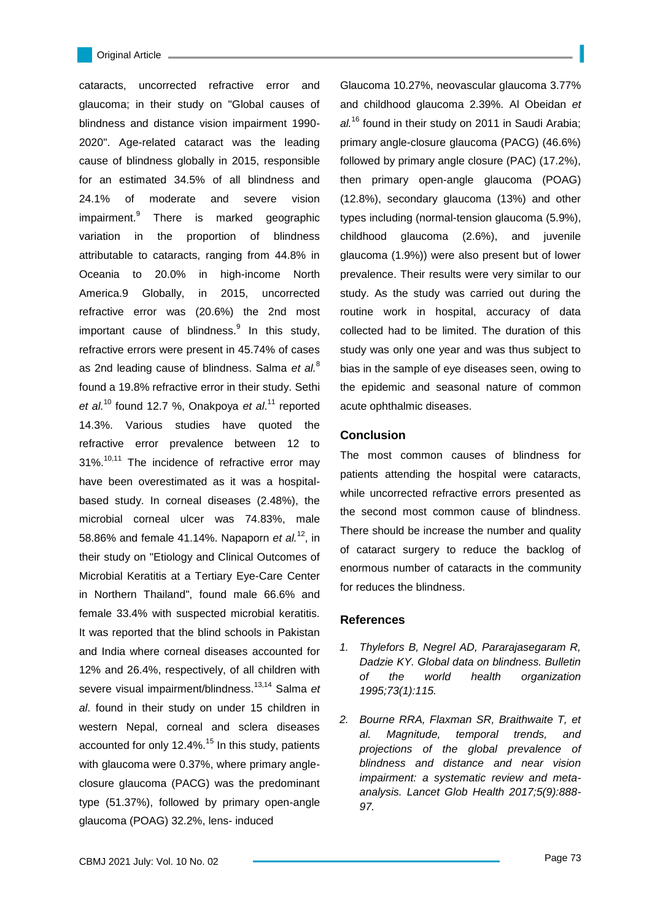cataracts, uncorrected refractive error and glaucoma; in their study on "Global causes of blindness and distance vision impairment 1990- 2020". Age-related cataract was the leading cause of blindness globally in 2015, responsible for an estimated 34.5% of all blindness and 24.1% of moderate and severe vision impairment.<sup>9</sup> There is marked geographic variation in the proportion of blindness attributable to cataracts, ranging from 44.8% in Oceania to 20.0% in high-income North America.9 Globally, in 2015, uncorrected refractive error was (20.6%) the 2nd most important cause of blindness. $9$  In this study, refractive errors were present in 45.74% of cases as 2nd leading cause of blindness. Salma *et al.*<sup>8</sup> found a 19.8% refractive error in their study. Sethi *et al.*<sup>10</sup> found 12.7 %, Onakpoya *et al*. <sup>11</sup> reported 14.3%. Various studies have quoted the refractive error prevalence between 12 to  $31\%$ <sup>10,11</sup> The incidence of refractive error may have been overestimated as it was a hospitalbased study. In corneal diseases (2.48%), the microbial corneal ulcer was 74.83%, male 58.86% and female 41.14%. Napaporn *et al.*<sup>12</sup>, in their study on "Etiology and Clinical Outcomes of Microbial Keratitis at a Tertiary Eye-Care Center in Northern Thailand", found male 66.6% and female 33.4% with suspected microbial keratitis. It was reported that the blind schools in Pakistan and India where corneal diseases accounted for 12% and 26.4%, respectively, of all children with severe visual impairment/blindness.13,14 Salma *et al*. found in their study on under 15 children in western Nepal, corneal and sclera diseases accounted for only 12.4%.<sup>15</sup> In this study, patients with glaucoma were 0.37%, where primary angleclosure glaucoma (PACG) was the predominant type (51.37%), followed by primary open-angle glaucoma (POAG) 32.2%, lens- induced

Glaucoma 10.27%, neovascular glaucoma 3.77% and childhood glaucoma 2.39%. Al Obeidan *et al.*<sup>16</sup> found in their study on 2011 in Saudi Arabia; primary angle-closure glaucoma (PACG) (46.6%) followed by primary angle closure (PAC) (17.2%), then primary open-angle glaucoma (POAG) (12.8%), secondary glaucoma (13%) and other types including (normal-tension glaucoma (5.9%), childhood glaucoma (2.6%), and juvenile glaucoma (1.9%)) were also present but of lower prevalence. Their results were very similar to our study. As the study was carried out during the routine work in hospital, accuracy of data collected had to be limited. The duration of this study was only one year and was thus subject to bias in the sample of eye diseases seen, owing to the epidemic and seasonal nature of common acute ophthalmic diseases.

#### **Conclusion**

The most common causes of blindness for patients attending the hospital were cataracts, while uncorrected refractive errors presented as the second most common cause of blindness. There should be increase the number and quality of cataract surgery to reduce the backlog of enormous number of cataracts in the community for reduces the blindness.

## **References**

- *1. Thylefors B, Negrel AD, Pararajasegaram R, Dadzie KY. Global data on blindness. Bulletin of the world health organization 1995;73(1):115.*
- *2. Bourne RRA, Flaxman SR, Braithwaite T, et al. Magnitude, temporal trends, and projections of the global prevalence of blindness and distance and near vision impairment: a systematic review and metaanalysis. Lancet Glob Health 2017;5(9):888- 97.*